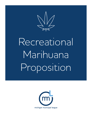

# Recreational Marihuana Proposition

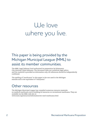# We love where you live.

#### This paper is being provided by the Michigan Municipal League (MML) to assist its member communities.

The MML Legal Defense Fund authorized its preparation by Kalamazoo City Attorney Clyde Robinson. The document does not constitute legal advice and the material is provided as information only. All references should be independently confirmed.

The spelling of "marihuana" in this paper is the one used in the Michigan statutes and is the equivalent of "marijuana."

#### Other resources

The Michigan Municipal League has compiled numerous resource materials on medical marihuana and is building its resources on recreational marihuana. They are available via the MML web site at: www.mml.org/resources/information/mi-med-marihuana.html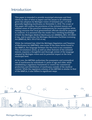#### Introduction

This paper is intended to provide municipal attorneys and their clients an idea of what to expect and the issues to be addressed, given the adoption by Michigan voters of Initiated Law 1 of 2018 generally legalizing marihuana on November 6, 2018. The scope of this paper will outline the provisions of the initiated statute and address some of the practical consequences for municipalities while raising concerns that local governmental officials should be prepared to confront. It is assumed that the reader has a working knowledge of both the Michigan Medical Marihuana Act (MMMA), MCL 333.26421 *et seq.*, and in particular the Michigan Marihuana Facilities Licensing Act (MMFLA), MCL 333.27101 *et seq*.

While the initiated law, titled the Michigan Regulation and Taxation of Marihuana Act (MRTMA), uses some of the same terms found in the MMFLA, the language between the two Acts is not consistent. This circumstance alone, as well as other features of the initiated statute, requires a thoughtful and thorough review of the language adopted by Michigan voters and its potential impact at the local municipal level.

At its core, the MRTMA authorizes the possession and nonmedical use of marihuana by individuals 21 years of age and older, while establishing a regulatory framework to control the commercial production and distribution of marihuana outside of the medical context. While the regulatory scheme of the MRTMA is similar to that of the MMFLA, it also differs in significant ways.

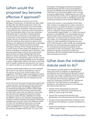#### When would the proposed law become effective if approved?

Under the provisions of Article II, § 9 of the Michigan Constitution, an initiated law takes effect 10 days after the official declaration of the vote. The State Board of Canvassers met on November 26 and certified the November 6 election results, so the effective date of the law will be December 6, 2018. The immediate effect of the law authorizes individuals age 21 and older to openly possess a small amount of marihuana and marihuana concentrate on their person, and possess and grow a larger amount of marihuana at their residence. Given the relatively short period to adjust to the change in the legal status of marihuana in Michigan, law enforcement officers should be provided training in advance of this change in the law so as to avoid claims of false arrest and allegations of Fourth Amendment unlawful search violations. This becomes particularly acute for law enforcement agencies that use drug-sniffing dogs that were trained to detect marihuana. Those animals will likely have to be retired from service as they cannot be relied upon to provide probable cause to support a search. Additionally, officers will have to deal with how to handle marihuana discovered in the course of a search incident to an arrest for another offense.

Another constitutional feature of a voter-initiated law is that it can only be amended by a vote of the electors or by ¾ vote of each house of the Legislature. This likely makes amending the statute difficult, but not impossible, as the MMMA has been amended at least twice since its adoption by the voters in 2008.

As for the actual licensure of businesses authorized to grow, process, and sell recreational marihuana, the Act requires that the Michigan Department of Licensing and Regulatory Affairs (LARA) begin accepting applications for state-issued licenses no later than a year after the effective date of the law and issue the appropriate license or notice of rejection within 90 days. (MRTMA § 9) Unlike the MMFLA, there is not a specific licensing board created to review and grant recreational marihuana establishment licenses. Given the deliberate speed of LARA and the Medical Marihuana Licensing Board in processing and authorizing licenses under the MMFLA, it is an open question whether the statutory deadline will be met. If it can't, then

the burden of licensing recreational marihuana establishments will fall to local municipalities, because the MRTMA specifically provides that if LARA does not timely promulgate rules or accept or process applications, "beginning one year after the effective date of this act," an applicant may seek licensure directly from the municipality where the marihuana business will be located. (MRTMA § 16)

Under this scenario, a municipality has 90 days after receipt of an application to issue a license or deny licensure. Grounds for denial of a license are limited to an applicant not being in compliance with an ordinance whose provisions are not "unreasonably impracticable," or a LARA rule issued pursuant to the MRTMA. If a municipality issues a license under these circumstances, it must notify LARA that a municipal license has been issued. The holder of a municipally-issued license is not subject to LARA regulation during the one-year term of the license; in other words, the municipality becomes the sole licensing and regulatory body for recreational marihuana businesses in the community in this circumstance. Any ordinance seeking to regulate recreational marihuana businesses should be drafted with the potential for this circumstance in mind.

#### What does the initiated statute seek to do?

The purposes actually stated in the MRTMA are many and varied. In addition to legalizing the recreational use of marihuana by persons 21 years and older, the statute 1) legalizes industrial hemp (cannabis with a THC concentration not exceeding 0.3 percent), and 2) licenses, regulates, and taxes the businesses involved in the commercial production and distribution of nonmedical marihuana. According to Section 2 of the statute, the intent of the law is to:

- prevent arrest and penalty for personal possession and cultivation of marihuana by adults 21 years of age and older;
- remove the commercial production and distribution of marihuana from the illicit market;
- prevent revenue generated from commerce and marihuana from going to criminal enterprises or gangs;
- prevent the distribution of marihuana to persons under 21 years of age;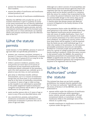- prevent the diversion of marihuana to elicit markets;
- ensure the safety of marihuana and marihuana infused products; and
- ensure the security of marihuana establishments.

Whether the MRTMA will actually live up to all of these intentions is open to question as many of the areas mentioned are not directly addressed in the law. For instance, since the establishments that will be authorized to grow, process, and sell recreational marihuana will not be licensed until early 2020, how is it that individuals can lawfully obtain and possess marihuana upon the effective date of the Act?

#### What the statute permits

Under Section 5 of the MRTMA, persons 21 years of age and older are specifically permitted to:

- possess, use, consume, purchase, transport, or process 2.5 ounces or less of marihuana, of which not more than 15 grams (0.53 oz.) may be in the form of marihuana concentrate;
- within a person's residence, possess, store, and process not more than a) 10 ounces of marihuana; b) any marihuana produced by marihuana plants cultivated on the premises; and c) for one's personal use, cultivate up to 12 plants at any one time, on one's premises;
- give away or otherwise transfer, without remuneration, up to 2.5 ounces of marihuana except that not more than 15 g of marihuana may be in the form of marihuana concentrate, to a person 21 years of age or older as long as the transfer is not advertised or promoted to the public (registered medical marihuana caregivers and patients will be able to "give away" marihuana to non-patients);
- assist another person who is 21 years of age or more in any of the acts described above; and
- use, manufacture, possess, and purchase marihuana accessories and distribute or sell marihuana accessories to persons who are 21 years of age and older.

Although not a direct concern of municipalities, law enforcement and social service agencies need to be cognizant that the Act specifically provides that "a person shall not be denied custody of or visitation with the minor for conduct that is permitted by the Act, unless the person's behavior such that it creates an unreasonable danger to the minor they can be clearly articulated and substantiated." MRTMA § 5. Exactly what this phrase means will likely be a source of litigation in the family division of the circuit courts.

The possession limits under the MRTMA are the most generous in the nation. Most other states that have legalized marihuana permit possession of only one ounce of usable marihuana, 3.5g to 7g of concentrate, limit the number of plants to six, and do not permit possession of an extra amount within one's residence. An additional concern arises as to how these limits will be applied. It will be asserted that the limits are per every individual age 21 or older who resides at the premises. So, the statutory permissible possessory amounts are ostensibly doubled for a married couple and quadrupled or more for a group of college students or an extended family sharing a residence. While this same concern is also present under the MMMA, the quantity of marihuana permitted to be possessed under the MMMA is significantly less than under the MRTMA, and lawful possessors (patients and caregivers) are required to be registered with the State.

## What is "Not Authorized" under the statute

The initiated law does not set forth outright prohibitions, but instead cleverly explains what the "act does not authorize." Specifically, under the terms of Section 4 of the MRTMA, one is not authorized to:

- operate while under the influence of marihuana or consume marihuana while operating a motor vehicle, aircraft, snowmobile, off-road recreational vehicle, or motorboat, or smoke marihuana while in the passenger area of the vehicle on a public way;
- transfer marihuana or marihuana accessories to a person under the age of 21;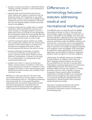- process, consume, purchase, or otherwise obtain, cultivate, process, transport, or sell marihuana if under the age of 21;
- separate plant resin by butane extraction or other method that utilizes a substance with the flashpoint below 100° Fahrenheit in any public place motor vehicle or within the curtilage of any residential structure (This prohibition is broader than the one limited solely to butane extraction found in the MMMA.);
- consume marihuana in a public place or smoke marihuana where prohibited by a person who owns occupies or manages property; however, a public place does not include an area designated for consumption within the municipality that has authorized consumption in a designated area not accessible to persons under 21 years of age;
- cultivate marihuana plants if plants are visible from a public place without the use of binoculars, aircraft, or other optical aids; or; outside of an enclosed area equipped with locks or other functioning security devices that restrict access;
- possess marihuana accessories or possess or consume marihuana on the grounds of a public or private school where children attend preschool, kindergarten, or grades one through 12; in a school bus; or on the grounds of any correctional facility; and
- possess more than 2.5 ounces of marihuana within a person's place of residence unless any excess marihuana is stored in a container or area equipped with locks or other functioning security devices that restrict access to the contents of the container or area.

MRTMA § 4.5 then provides that "All other laws inconsistent with this act do not apply to conduct that is permitted by this act." This general statement does not provide for a total repeal of existing marihuana laws, but its lack of specificity to other statutes being impacted, something that the Legislative Service Bureau helps the Legislature avoid, may portend problems in its application.

#### Differences in terminology between statutes addressing medical and recreational marihuana

The MRTMA does not neatly fit with the MMMA. It provides at Section 4.2 that it "does not limit any privileges, rights, immunities or defenses of a person as provided" by the MMMA. This raises the question whether registered patients and caregivers may lawfully possess marihuana exceeding the amounts permitted under the MMMA. However, this may become a moot point, since in all probability, once the commercial provisions of the MRTMA are fully in operation, the number of registered patients and caregivers under the MMMA could reasonably be expected to drop significantly, as its practical application would largely be limited to registered patients under the age of 21 and their caregivers.

Additionally, the MRTMA references the MMFLA at several places. In addition to the "does not limit" language referenced above, the statute at § 9.6 provides that for the first 24 months after LARA begins accepting applications for marihuana establishment licenses, only those persons holding a MMFLA license may apply for a retailer, processor, class B or class C grower, or secure transporter license issued under the MRTMA. And § 8.3(c), is broadly worded so as to preclude LARA from promulgating rules which prohibit a recreational marihuana establishment from operating at a shared location with a licensed medical marihuana facility.

The lack of consistency between the statute addressing medical marihuana and the recreational marihuana statute is reflected in the following chart.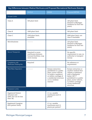| Key Differences between Medical Marihuana and Proposed Recreational Marihuana Statutes |                                                                                 |                                                                                                                                                                                         |                                                                                                                                                                                                                      |  |
|----------------------------------------------------------------------------------------|---------------------------------------------------------------------------------|-----------------------------------------------------------------------------------------------------------------------------------------------------------------------------------------|----------------------------------------------------------------------------------------------------------------------------------------------------------------------------------------------------------------------|--|
|                                                                                        | <b>MMFLA</b>                                                                    | <b>MMMA</b>                                                                                                                                                                             | <b>Proposed MRTMA</b>                                                                                                                                                                                                |  |
| <b>Grower Limits</b>                                                                   |                                                                                 |                                                                                                                                                                                         |                                                                                                                                                                                                                      |  |
| Class A                                                                                | 500 plant limit                                                                 |                                                                                                                                                                                         | 100 plant limit<br>(limited to Michigan<br>residents for first two<br>years)                                                                                                                                         |  |
| Class B                                                                                | 1000 plant limit                                                                |                                                                                                                                                                                         | 500 plant limit                                                                                                                                                                                                      |  |
| Class C                                                                                | 1500 plant limit;<br>stackable                                                  |                                                                                                                                                                                         | 2000 plant limit; not<br>clear if stackable                                                                                                                                                                          |  |
| Microbusiness                                                                          |                                                                                 |                                                                                                                                                                                         | 150 plant limit<br>(limited to Michigan<br>residents for first two<br>years)                                                                                                                                         |  |
| Secure Transporter                                                                     | Required to move<br>marihuana between<br>licensed facilities; may<br>move money |                                                                                                                                                                                         | No specific<br>requirement to use; no<br>authority to transport<br>money                                                                                                                                             |  |
| Compliance with<br>Marihuana Tracking Act                                              | Required                                                                        |                                                                                                                                                                                         | No reference or<br>requirement                                                                                                                                                                                       |  |
| <b>Plant Resin Separation</b>                                                          |                                                                                 | <b>Butane extraction</b><br>prohibited in a public<br>place, motor vehicle,<br>or inside a residence<br>or within curtilage of<br>a residential structure<br>or in a reckless<br>manner | Butane extraction or<br>another method that<br>utilizes a substance<br>with a flashpoint<br>below 100°F<br>prohibited in a public<br>place, motor vehicle,<br>or within curtilage<br>of any residential<br>structure |  |
| <b>Possession Limits</b>                                                               |                                                                                 |                                                                                                                                                                                         |                                                                                                                                                                                                                      |  |
| Registered Patient<br>(18 years and<br>older, but can be less<br>than $18$ )           |                                                                                 | 2.5 oz. useable<br>marihuana and 12<br>plants*                                                                                                                                          |                                                                                                                                                                                                                      |  |
| Registered Caregiver<br>(five patient limit)                                           |                                                                                 | 2.5 oz. useable<br>marihuana and 12<br>plants per patient*                                                                                                                              |                                                                                                                                                                                                                      |  |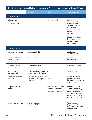| Key Differences between Medical Marihuana and Proposed Recreational Marihuana Statutes |                                                                             |                                                                                                |                                                                                                                                                                                                                                                |  |  |
|----------------------------------------------------------------------------------------|-----------------------------------------------------------------------------|------------------------------------------------------------------------------------------------|------------------------------------------------------------------------------------------------------------------------------------------------------------------------------------------------------------------------------------------------|--|--|
|                                                                                        | <b>MMFLA</b>                                                                | <b>MMMA</b>                                                                                    | <b>Proposed MRTMA</b>                                                                                                                                                                                                                          |  |  |
| <b>Possession Limits</b>                                                               |                                                                             |                                                                                                |                                                                                                                                                                                                                                                |  |  |
| Other Persons<br>(21 years and older<br>under MRTMA)                                   |                                                                             | Not permitted                                                                                  | (a) $2.5$ oz. of<br>marihuana, of which<br>not more than<br>15 grams may be<br>concentrate;<br>(b) 10 oz. secured<br>within one's<br>residence;<br>(c) any amount<br>produced by plants<br>cultivated on the<br>premises; and<br>(d) 12 plants |  |  |
| <b>Inconsistent Terms</b>                                                              |                                                                             |                                                                                                |                                                                                                                                                                                                                                                |  |  |
| Licensed marihuana<br>businesses                                                       | marihuana facility                                                          |                                                                                                | marihuana<br>establishment                                                                                                                                                                                                                     |  |  |
| Equipment to grow,<br>process or use<br>marihuana                                      | paraphernalia                                                               |                                                                                                | marihuana<br>accessories                                                                                                                                                                                                                       |  |  |
| <b>Business that sells</b><br>marihuana                                                | provisioning center                                                         |                                                                                                | marihuana retailer                                                                                                                                                                                                                             |  |  |
| Certain parts of<br>marihuana plant                                                    | Usable marihuana and usable<br>marihuana equivalencies                      |                                                                                                | Term not used                                                                                                                                                                                                                                  |  |  |
| Marihuana-infused<br>products                                                          | Excludes products consumed<br>by smoking; exempts products from<br>food law |                                                                                                | Does not exclude<br>products consumed<br>by smoking or provide<br>food law exemption                                                                                                                                                           |  |  |
| Enclosed, locked<br>facility                                                           |                                                                             | Specifically defined to<br>address a structure,<br>an outdoor grow area,<br>and motor vehicles | Container or area<br>within a person's<br>residence equipped<br>with locks or other<br>functioning security<br>device that restricts<br>access to the area or<br>container's contents                                                          |  |  |
| Limitations on scope<br>of local regulation                                            | Purity, pricing or<br>conflict with MMFLA<br>or LARA rules                  |                                                                                                | "Unreasonably<br>Impracticable" or<br>conflict with MRTMA<br>or LARA rules                                                                                                                                                                     |  |  |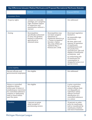| Key Differences between Medical Marihuana and Proposed Recreational Marihuana Statutes                                                                                                           |                                                                                                                                           |                                                                                                                                                                                                       |                                                                                                                                                                                                                                                                                                                                                                   |  |  |
|--------------------------------------------------------------------------------------------------------------------------------------------------------------------------------------------------|-------------------------------------------------------------------------------------------------------------------------------------------|-------------------------------------------------------------------------------------------------------------------------------------------------------------------------------------------------------|-------------------------------------------------------------------------------------------------------------------------------------------------------------------------------------------------------------------------------------------------------------------------------------------------------------------------------------------------------------------|--|--|
|                                                                                                                                                                                                  | <b>MMFLA</b>                                                                                                                              | <b>MMMA</b>                                                                                                                                                                                           | <b>Proposed MRTMA</b>                                                                                                                                                                                                                                                                                                                                             |  |  |
| <b>Inconsistent Terms</b>                                                                                                                                                                        |                                                                                                                                           |                                                                                                                                                                                                       |                                                                                                                                                                                                                                                                                                                                                                   |  |  |
| Property rights                                                                                                                                                                                  | License is a revocable<br>privilege, not a property<br>right; facilities subject<br>to inspection and<br>examination without a<br>warrant |                                                                                                                                                                                                       | Not addressed                                                                                                                                                                                                                                                                                                                                                     |  |  |
| Zoning                                                                                                                                                                                           | Municipalities<br>specifically authorized<br>to zone, but growers<br>limited to industrial,<br>agricultural or<br>unzoned areas           | Municipalities may<br>not limit caregiver<br>operations to<br>residential districts as<br>a "home occupation"<br>Deruiter v Byron<br>Twp. (July 2018) and<br>Ypsilanti Twp. v.<br>Pontius (Oct. 2018) | Municipal regulation<br>limited to:<br>(a) reasonable sign<br>restrictions;<br>(b) time, place and<br>manner of operation<br>of marihuana<br>establishments and<br>the production,<br>manufacture, sale and<br>display of marihuana<br>accessories; and<br>(c) authorizing sale<br>of marihuana for<br>consumption in<br>designated areas or at<br>special events |  |  |
| License eligibility                                                                                                                                                                              |                                                                                                                                           |                                                                                                                                                                                                       |                                                                                                                                                                                                                                                                                                                                                                   |  |  |
| Elected officials and<br>governmental employees                                                                                                                                                  | Not eligible                                                                                                                              |                                                                                                                                                                                                       | Not addressed                                                                                                                                                                                                                                                                                                                                                     |  |  |
| Felony or controlled<br>substance felony<br>within past 10 years or<br>misdemeanor conviction<br>for controlled substance<br>violation or dishonesty<br>theft or fraud within<br>past five years | Not eligible                                                                                                                              |                                                                                                                                                                                                       | A prior conviction<br>for a marihuana-<br>related offense does<br>not disqualify an<br>individual unless<br>offense involved<br>distribution of a<br>controlled substance<br>to a minor                                                                                                                                                                           |  |  |
| Taxation                                                                                                                                                                                         | 3 percent on gross<br>retail receipts of<br>provisioning centers                                                                          |                                                                                                                                                                                                       | 10 percent on sales<br>price for marihuana<br>sold or transferred by<br>marihuana retailers<br>and micro businesses                                                                                                                                                                                                                                               |  |  |

#### Michigan Municipal League 9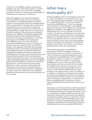\*Under § 8 of the MMMA a patient and patient's caregiver may also collectively possess a quantity of marihuana that is not more than reasonably necessary to ensure an uninterrupted availability of marihuana for the purpose of treatment.

There also appears to be some inconsistency within the MRTMA itself. Section 6.1 permits a municipality to "completely prohibit or limit the number of (recreational) marihuana establishments within its boundaries." However, §6.5 provides that a municipality may not prohibit a recreational marihuana grower, processor, and retailer from: 1) operating within a single facility; or 2) *"operating at a location shared with a marihuana facility operating pursuant to the (MMFLA)."* (Emphasis supplied) The italicized phrase has been interpreted by some marihuana advocates as precluding a community that opted in to the MMFLA from opting out of the MRTMA since to do so would prevent recreational establishments from co-locating in a medical marihuana facility, which is prohibited. However, this argument overlooks the clear grant of authority at §6.1 permitting a municipality by either legislative action or initiative ballot from completely prohibiting recreational marihuana establishments. The real concern with §6 is for those communities that permit both recreational and medical marihuana businesses. The plain language at §6.5 seemingly permits the more intensive grower (which under the MMFLA is restricted to industrial, agricultural or unzoned areas) and processing operations to share a location with marihuana businesses more conducive to being located in commercial or office zoning districts. A legislative fix may be needed to clarify that only analogous medical and recreational marihuana businesses can be co-located.

#### What may a municipality do?

Unlike the MMFLA, where municipalities must "opt in," under the MRTMA, a municipality must "opt out." The proposed statute permits a municipality to "completely prohibit" or "limit the number of marihuana establishments." Given the language used in Section 6 of the MRTMA, a municipality should not rely upon prior ordinances or resolutions adopted in response to the MMFLA, but should affirmatively opt out of the MRTMA or limit the number of marihuana establishments by ordinance, not by resolution. Further, petitions containing the signatures of qualified electors of the municipality in an amount greater than five percent of votes cast for governor in the most recent gubernatorial election, may initiate an ordinance to completely prohibit or provide for the number of marihuana establishments within the municipality.

The initiative language in the MRTMA is problematic. Given the wording, it cannot be assumed that voters can initiate an ordinance to "opt in" should the local governing body choose to exempt the municipality from the Act. Rather, the initiative options are either to "completely prohibit" or "limit the number" of marihuana establishments. It is an open question whether the initiative authority to provide for the number of establishments could be an avenue for voters to override the local governing body's action to "opt out" of the statute. Additionally, the vague wording of the statute leaves it open to question as to whether an initiative providing for the number of marihuana establishments must (or should) set forth proposed numbers or limits for each separate type of marihuana establishment or whether the limit on establishments is collective in nature. Logic would favor the former, but the statute is not precise.

Not opting out of the recreational marihuana statute will impact existing medical marihuana facilities in a municipality because for the first 24 months of the Act, only persons holding a MMFLA license (in any community where such is permitted) may apply for a recreational retailer, class B or C grower, or secure transporter license under the MRTMA unless after the first 12 months of accepting applications LARA determines that additional recreational marihuana establishment licenses are needed. MRTMA §9.6.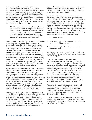A municipality choosing not to opt out of the MRTMA may adopt certain other ordinances addressing recreational marihuana and recreational marihuana establishments provided that they "are not unreasonably impractical" and do not conflict with the Act or any rule promulgated pursuant to the Act. The statutory definition of the redundant term "unreasonably impracticable," found at Section 3(u), almost begs to be litigated. As defined by the initiated statute, the term means:

> "that the measures necessary to comply with the rules or ordinances adopted pursuant to this act subject licensees to unreasonable risk or require such a high investment of money, time, or any other resource or asset that a reasonably prudent business person would not operate the marihuana establishment."

Unfortunately, given that the possession, cultivation, processing, and sale of marihuana remains a crime under federal law, how does one assess an "unreasonable risk" or determine what constitutes such a high investment of time or money so as to deter a reasonably prudent business person from going forward? Further, does this definition remove the judicial deference and presumption of reasonableness that accompanies ordinances? The term "unreasonably impractical" was taken directly from Colorado law, and as of this writing, it does not appear to have been construed by an appellate court in that State. As an aside, would "reasonably impracticable" regulations be acceptable?

Specifically, an ordinance may establish reasonable restrictions on public signs related to marihuana establishments; regulate the time, place, and manner of operation of marihuana establishments, as well as the production, manufacture, sale, or display of marihuana accessories; and, authorize the sale of marihuana for consumption in designated areas that are not accessible to persons under 21 years of age or special events in limited areas and for a limited time. A violation of ordinances regulating marihuana establishments is limited to a civil fine of not more than \$500. MRTMA § 6.2.

However, some of these regulatory authorizations are problematic. For instance, the ability to establish reasonable restrictions on public signs related to recreational marihuana, being content-based, likely runs afoul of the holding in *Reed v. Town of Gilbert*, 135 S.Ct. 2218 (2015). Further, the MRTMA does not, unlike the MMFLA, specifically authorize a municipality to exercise its zoning powers to

regulate the location of marihuana establishments. Rather, the MRTMA authorizes ordinances that "regulate the time, place, and manner of operation of marihuana establishments."

The use of the time, place, and manner First Amendment test on the ability of government to regulate speech is ill-suited and inappropriate to the licensure and regulation of local businesses. One cannot help but believe that the choice of the time, place, and manner language was an intentional effort so as to permit marihuana establishments to heavily borrow from established legal precedent that largely circumscribes the ability of governmental authorities to restrict speech. Specifically, valid time, place, and manner type of restrictions must:

- 1. be content neutral;
- 2. be narrowly tailored to serve a significant governmental interest; and
- 3. leave open ample alternative channels for communication.

*Ward v. Rock Against Racism*, 491 U.S. 781, 791 (1989) citing *Clark v. Community for Creative Non-Violence*, 468 U.S. 288, 293 (1984)

The above formulation is not consistent with Michigan zoning law doctrine, which, although subject to the due process and equal protection guarantees of the Fourteenth Amendment, generally requires that there be a reasonable governmental interest being advanced by the regulation. See *Charter Township of Delta v. Dinolfo*, 419 Mich 253, 268 (1984). To this end, the only clear reference to the zoning power in the MRTMA is the grant to municipalities to reduce the separation distance between marihuana establishments and preexisting public and private schools providing K-12 education from 1000' to a lesser distance.

A municipality's ability to authorize designated areas and special events for the consumption marihuana holds the potential to give rise to specialty businesses such as in California where restaurants make marihuana-infused food and drinks available to diners.

Section 6.5 of the MRTMA specifically precludes a municipality from prohibiting the transportation of marihuana through the municipality, even though it has otherwise opted out.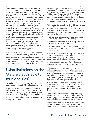If a municipality limits the number of establishments that may be licensed, and such limitation prevents LARA from issuing a state license to all applicants who otherwise meet the requirements for the issuance of a license, the MRTMA provides that "the municipality shall decide among the competing applications by competitive process intended to select applicants who are best suited to operate in compliance with the act within the municipality." MRTMA § 9.4. This provision presents the Pandora's Box which confronted municipalities that attempted to cap the number of licenses issued under the MMFLA. Any competitive process that seeks to determine who is "best suited" inherently has a subjective component that may expose the municipality to legal challenges based on alleged due process violations by the municipality from unsuccessful applicants asserting that the process employed was unfair on its face or unfairly administered. While there may be good reasons to limit the number of recreational marihuana establishments, any community that chooses to do so should be prepared to defend itself from challenges by unsuccessful applicants.

A municipality may adopt an ordinance requiring that marihuana establishments located within its boundaries obtain a municipally–issued marihuana establishment license; but, the annual fee for such a license is limited to \$5,000 and any qualifications for licensure may not conflict with the MRTMA or rules promulgated by LARA pursuant to the Act.

## What limitations on the State are applicable to municipalities?

According to the statute, a State rule may not be unreasonably impracticable, or limit the number of any of the various types of license that may be granted, or require a customer to provide a retailer with identifying information other than to determine a customer's age or acquire personal information other than that typically required in a retail transaction or preclude the co-location of a marihuana establishment with a licensed medical facility. MRTMA §8.3.

The State is required to issue a license under the Act if the municipality does not notify LARA that the proposed establishment is not in compliance with a local ordinance and if the proposed location is not within an area "zoned exclusively for residential use and not within 1000 feet of a pre-existing public or private school providing K-12 education." A municipality is authorized to reduce the 1000' separation from a school requirement. MRTMA §9.3.

Additionally, the grounds for disqualifying a license applicant based on a prior controlled substance conviction is much reduced under the MRTMA than under the MMFLA. An applicant for a medical marihuana facilities license is disqualified if they have any of the following:

- a felony conviction or release from incarceration for a felony within the past 10 years;
- a controlled substance-related felony conviction within the past 10 years; or
- a misdemeanor conviction involving a controlled substance, theft, dishonesty, or fraud within the past five years.

In contrast, under the MRTMA any prior conviction solely for a marihuana offense does not disqualify or affect eligibility for licensure unless the offense involved distribution to a minor. Thus, persons convicted of trafficking in large amounts of marihuana would be eligible for a municipal marihuana establishment license. MRTMA §8.1(c).

Additionally, LARA is precluded from issuing a rule and municipalities may not adopt an ordinance requiring a customer to provide a marihuana retailer with any information other than identification to determine the customer's age. MRTMA §8.3(b). In this regard, the MRTMA provides an affirmative defense to marihuana retailers who sell or otherwise transfer marihuana to a person under 21 years of age if the retailer reasonably verified that the recipient appeared to be 21 years of age or older by means of government issued photographic identification containing a date of birth. MRTMA §10.2.

There are also limitations on holding ownership interests in different types of facilities. Owners of a safety compliance facility or secure transporter may not hold an ownership interest in a grower, or processor, or retailer, or microbusiness establishment. The owner of a microbusiness may not hold an interest in a grower, or processor, or retailer, safety compliance, or secure transporter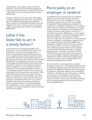establishment. And a person may not hold an interest in more than five marihuana growers or more than one microbusiness, unless after January 1, 2023 LARA issues a rule permitting otherwise. MRTMA §9.3.

Finally, for the first 24 months after LARA begins accepting applications for licensure, only persons who are residents of Michigan may apply for a Class A grower or microbusiness license and to be eligible for all other licenses, persons must hold a State operating license pursuant to the MMFLA. MRTMA §9.6.

## What if the State fails to act in a timely fashion?

If the State does not timely promulgate rules (despite the Act not providing when those must be issued) or accept or process applications within 12 months after the effective date of the Act, an applicant may submit an application for a recreational marihuana establishment directly to the municipality where the business will be located. MRTMA §16. A municipality must issue a license to the applicant within 90 days after receipt of the application unless the municipality determines that the applicant is not in compliance with an ordinance or rule adopted pursuant to the Act. If a municipality issues a license, it must notify the department that the license has been issued. That municipal license will have the same force and effect as a State license but the holder will not be subject to regulation or enforcement by the State during the municipal license term. It is unclear whether, if the State puts in place a licensing system during the term of a municipal license, the establishment can be required to seek State licensure or is merely required to renew the license with the municipality.

### Municipality as an employer or landlord

The MRTMA does not require that an employer permit or accommodate conduct otherwise allowed by the Act in the workplace or on the employer's property. The Act does not prohibit an employer from disciplining an employee for violation of a workplace drug policy or for working while under the influence of marihuana. Nor does the Act prevent an employer from refusing to hire a person because of that person's violation of a workplace drug policy. MRTMA §4.3. In this regard, the statute appears to codify the holding of *Casias v. Wal-Mart Stores*, Inc., 764 F Supp 2d 914 (WD Mich 2011) *aff'd*, 695 F3d 428 (6th Cir 2012) permitting a private employer to discharge an employee who as a registered patient under the MMMA used marihuana outside of work hours, was not under the influence while at work, but tested positive after suffering an injury while at work. However, note should be taken that in *Braska v. Challenge Manufacturing Co.*, 307 Mich App 340; 861 NW2d 289 (2014) the Court determined that under the terms of the MMMA, employees discharged from employment solely on the basis of positive drug tests for marihuana were not disqualified from receiving unemployment benefits.

In the event that a municipality has created a housing commission, or otherwise provides housing or otherwise leases property and therefore acts as a landlord, the MRTMA permits the lessor of property to prohibit or otherwise regulate the consumption, cultivation, distribution, processing, sale, or display of marihuana and marihuana accessories on leased property, except that a lease agreement may not prohibit a tenant from lawfully possessing and consuming marihuana by means other than smoking. MRTMA §4.4.

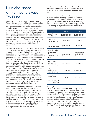#### Municipal share of Marihuana Excise Tax Fund

Under the terms of the MMFLA, municipalities (cities, villages, and townships) in which a medical marihuana facility is located get a *pro rata* share of 25 percent of a medical marihuana excise fund created by the imposition of a 3 percent tax on gross retail sales at provisioning centers. However, under the terms of the MMFLA, if a law authorizing the recreational or nonmedical use of marihuana is enacted, the tax on medical marihuana sales sunsets 90 days following the effective date of the new law. MCL 333.27601. Thus by early March 2019, the excise tax just beginning to be collected by provisioning centers under the MMFLA will be repealed.

The MRTMA seeks to fill the gap created by the loss of the 3 percent excise tax under the MMFLA by creating marihuana regulation fund through the imposition of a 10 percent excise tax (which would be in addition to the 6 percent sales tax) on the sales price of marihuana sold or otherwise transferred by a marihuana retailer or microbusiness to anyone other than another marihuana establishment. However, the sale to be allocated to municipalities is reduced to 15 percent and before any money is provided to cities, villages, and townships in which a marihuana retail store or microbusiness is located, the State is made whole for its implementation, administration, and enforcement of the Act—and until 2022 or for at least two years, \$20 million from the fund must be annually provided to one or more clinical trials approved by the FDA that are researching the efficacy of marihuana in the treatment of U.S. armed services veterans and preventing veteran suicide. MRTMA §14.

The net effect for municipalities could result in more money under the MRTMA than under the MMFLA. This is because: a) the tax rate levied is over three times higher under the MRTMA (10 percent v. 3 percent); b) there is a larger pool of potential consumers (registered patients and caregivers v. all persons aged 21 and older); and c) the allocation to municipalities under the MRTMA is based on the number of marihuana retail stores and micro businesses as opposed to all types of marihuana facilities under the MMFLA. However, if a municipality does not permit recreational

marihuana retail establishments, it will not receive any revenue under the MRTMA, but will still have to deal with the social consequences of marihuana use.

The following table illustrates the differences between the two statutory approaches based on assumption of \$1 billion in annual gross sales, State regulatory expenses being recouped by applicable fees, and a municipality having one percent of the total number of medical marihuana facilities or recreational retail businesses.

|                                                                              | <b>MMFLA</b>    | <b>MRTMA</b>                         |
|------------------------------------------------------------------------------|-----------------|--------------------------------------|
| Annual Gross<br><b>Retail Sales</b>                                          | \$1,000,000,000 | \$1,000,000,000                      |
| Applicable<br>Excise Tax Rate                                                | 3 percent       | 10 percent                           |
| Amount of<br>Excise Tax Fund                                                 | \$30,000,000    | \$100,000,000                        |
| Less Allocation<br>for Veterans'<br>Health<br>Research until<br>2022         | \$30,000,000    | <u>-\$20,000,000</u><br>\$80,000,000 |
| Percentage<br>Allocated to<br>Municipalities                                 | 25 percent      | 15 percent                           |
| Amount<br>Available for<br>Municipalities                                    | \$7,500,000     | \$12,000,000                         |
| 1 percent<br>of facilities<br>or retail<br>establishments<br>in municipality | \$75,000        | \$120,000                            |

Seemingly to convince voters to approve the MRTMA, 35 percent of the marihuana regulation fund will be allocated to the school aid fund for K-12 education and another 35 percent to the Michigan transportation fund for the repair and maintenance of roads and bridges. Unlike the MMFLA, which allocated 15 percent split equally (5 percent each) between county sheriffs where a marihuana facility was located, the Commission on Law Enforcement Standards for Officer Training, and to the State Police, there is no allocation directly to law enforcement purposes under the MRTMA.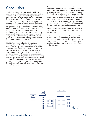#### Conclusion

As challenging as it was for municipalities to come to grips with medical marihuana regulation under the MMFLA, the difficulties posed by the proposed MRTMA regarding recreational marihuana are likely to be significantly greater. Under the MMFLA, many municipalities took a "wait and see" position on the issue of broad commercialization of medical marihuana, which only required that the governing body of the municipality do nothing. And for those municipalities that chose to "opt in," the MMFLA granted them a great deal of regulatory discretion, which some representatives of the marihuana industry have called "onerous" [Langwith, "Local Overreach", 97 Mich B J 36, 37 (August 2018)], so as to reasonably safeguard the public safety, health, and welfare.

The MRTMA on the other hand, requires a municipality to affirmatively take legislative action to "opt out" of regulating recreational marihuana commercial enterprises. For those municipalities that choose to permit recreational marihuana establishments to exist in the community, the regulatory framework is much more circumscribed than under the MMFLA, and is certainly more likely to raise legal issues. Fortunately, commercialization of recreational marihuana is at least a year away, and by that time the State regulatory framework for medical marihuana will have been in place for nearly two years.

Apart from the commercialization of recreational marihuana, municipal law enforcement officials and officers will be required to know the new rules surrounding "legalized" marihuana within days of the election. At a minimum, county and municipal prosecutors should be ready to provide training on the law in early November. It is also likely that defendants who committed marihuana offenses prior to November 6 will seek dismissal of those charges given the approval of the ballot proposal. Several county prosecutors have been reported as being willing to dismiss pending marihuana possession charges issued before the election if the alleged conduct falls within the scope of the initiated law.

In the meantime, municipal attorneys would be well-advised to read through the initiated statute more than once and be prepared to advise their clients of the significant ramifications of legalized marihuana on local governmental and social services.



#### Michigan Municipal League 15